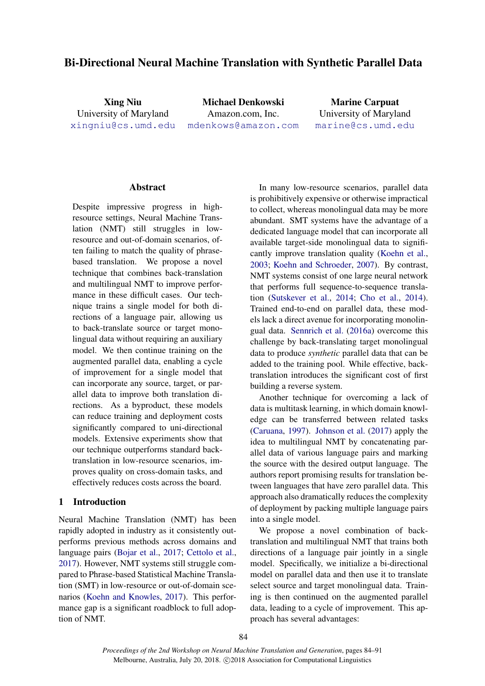# Bi-Directional Neural Machine Translation with Synthetic Parallel Data

Xing Niu University of Maryland [xingniu@cs.umd.edu](mailto:xingniu@cs.umd.edu)

Michael Denkowski Amazon.com, Inc. [mdenkows@amazon.com](mailto:mdenkows@amazon.com)

Marine Carpuat University of Maryland [marine@cs.umd.edu](mailto:marine@cs.umd.edu)

### **Abstract**

Despite impressive progress in highresource settings, Neural Machine Translation (NMT) still struggles in lowresource and out-of-domain scenarios, often failing to match the quality of phrasebased translation. We propose a novel technique that combines back-translation and multilingual NMT to improve performance in these difficult cases. Our technique trains a single model for both directions of a language pair, allowing us to back-translate source or target monolingual data without requiring an auxiliary model. We then continue training on the augmented parallel data, enabling a cycle of improvement for a single model that can incorporate any source, target, or parallel data to improve both translation directions. As a byproduct, these models can reduce training and deployment costs significantly compared to uni-directional models. Extensive experiments show that our technique outperforms standard backtranslation in low-resource scenarios, improves quality on cross-domain tasks, and effectively reduces costs across the board.

### 1 Introduction

Neural Machine Translation (NMT) has been rapidly adopted in industry as it consistently outperforms previous methods across domains and language pairs [\(Bojar et al.,](#page-6-0) [2017;](#page-6-0) [Cettolo et al.,](#page-6-1) [2017\)](#page-6-1). However, NMT systems still struggle compared to Phrase-based Statistical Machine Translation (SMT) in low-resource or out-of-domain scenarios [\(Koehn and Knowles,](#page-7-0) [2017\)](#page-7-0). This performance gap is a significant roadblock to full adoption of NMT.

In many low-resource scenarios, parallel data is prohibitively expensive or otherwise impractical to collect, whereas monolingual data may be more abundant. SMT systems have the advantage of a dedicated language model that can incorporate all available target-side monolingual data to significantly improve translation quality [\(Koehn et al.,](#page-7-1) [2003;](#page-7-1) [Koehn and Schroeder,](#page-7-2) [2007\)](#page-7-2). By contrast, NMT systems consist of one large neural network that performs full sequence-to-sequence translation [\(Sutskever et al.,](#page-7-3) [2014;](#page-7-3) [Cho et al.,](#page-7-4) [2014\)](#page-7-4). Trained end-to-end on parallel data, these models lack a direct avenue for incorporating monolingual data. [Sennrich et al.](#page-7-5) [\(2016a\)](#page-7-5) overcome this challenge by back-translating target monolingual data to produce *synthetic* parallel data that can be added to the training pool. While effective, backtranslation introduces the significant cost of first building a reverse system.

Another technique for overcoming a lack of data is multitask learning, in which domain knowledge can be transferred between related tasks [\(Caruana,](#page-6-2) [1997\)](#page-6-2). [Johnson et al.](#page-7-6) [\(2017\)](#page-7-6) apply the idea to multilingual NMT by concatenating parallel data of various language pairs and marking the source with the desired output language. The authors report promising results for translation between languages that have zero parallel data. This approach also dramatically reduces the complexity of deployment by packing multiple language pairs into a single model.

We propose a novel combination of backtranslation and multilingual NMT that trains both directions of a language pair jointly in a single model. Specifically, we initialize a bi-directional model on parallel data and then use it to translate select source and target monolingual data. Training is then continued on the augmented parallel data, leading to a cycle of improvement. This approach has several advantages: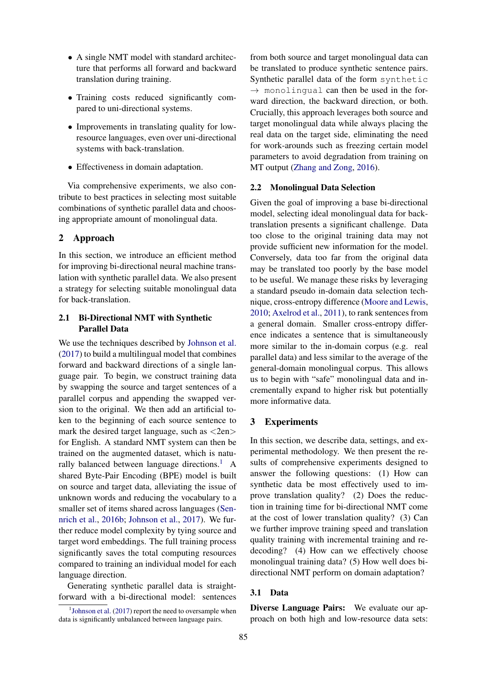- A single NMT model with standard architecture that performs all forward and backward translation during training.
- Training costs reduced significantly compared to uni-directional systems.
- Improvements in translating quality for lowresource languages, even over uni-directional systems with back-translation.
- Effectiveness in domain adaptation.

Via comprehensive experiments, we also contribute to best practices in selecting most suitable combinations of synthetic parallel data and choosing appropriate amount of monolingual data.

# 2 Approach

In this section, we introduce an efficient method for improving bi-directional neural machine translation with synthetic parallel data. We also present a strategy for selecting suitable monolingual data for back-translation.

# 2.1 Bi-Directional NMT with Synthetic Parallel Data

We use the techniques described by [Johnson et al.](#page-7-6) [\(2017\)](#page-7-6) to build a multilingual model that combines forward and backward directions of a single language pair. To begin, we construct training data by swapping the source and target sentences of a parallel corpus and appending the swapped version to the original. We then add an artificial token to the beginning of each source sentence to mark the desired target language, such as  $\langle$ 2en $>$ for English. A standard NMT system can then be trained on the augmented dataset, which is natu-rally balanced between language directions.<sup>[1](#page-1-0)</sup> A shared Byte-Pair Encoding (BPE) model is built on source and target data, alleviating the issue of unknown words and reducing the vocabulary to a smaller set of items shared across languages [\(Sen](#page-7-7)[nrich et al.,](#page-7-7) [2016b;](#page-7-7) [Johnson et al.,](#page-7-6) [2017\)](#page-7-6). We further reduce model complexity by tying source and target word embeddings. The full training process significantly saves the total computing resources compared to training an individual model for each language direction.

Generating synthetic parallel data is straightforward with a bi-directional model: sentences

from both source and target monolingual data can be translated to produce synthetic sentence pairs. Synthetic parallel data of the form synthetic  $\rightarrow$  monolingual can then be used in the forward direction, the backward direction, or both. Crucially, this approach leverages both source and target monolingual data while always placing the real data on the target side, eliminating the need for work-arounds such as freezing certain model parameters to avoid degradation from training on MT output [\(Zhang and Zong,](#page-7-8) [2016\)](#page-7-8).

# <span id="page-1-1"></span>2.2 Monolingual Data Selection

Given the goal of improving a base bi-directional model, selecting ideal monolingual data for backtranslation presents a significant challenge. Data too close to the original training data may not provide sufficient new information for the model. Conversely, data too far from the original data may be translated too poorly by the base model to be useful. We manage these risks by leveraging a standard pseudo in-domain data selection technique, cross-entropy difference [\(Moore and Lewis,](#page-7-9) [2010;](#page-7-9) [Axelrod et al.,](#page-6-3) [2011\)](#page-6-3), to rank sentences from a general domain. Smaller cross-entropy difference indicates a sentence that is simultaneously more similar to the in-domain corpus (e.g. real parallel data) and less similar to the average of the general-domain monolingual corpus. This allows us to begin with "safe" monolingual data and incrementally expand to higher risk but potentially more informative data.

# 3 Experiments

In this section, we describe data, settings, and experimental methodology. We then present the results of comprehensive experiments designed to answer the following questions: (1) How can synthetic data be most effectively used to improve translation quality? (2) Does the reduction in training time for bi-directional NMT come at the cost of lower translation quality? (3) Can we further improve training speed and translation quality training with incremental training and redecoding? (4) How can we effectively choose monolingual training data? (5) How well does bidirectional NMT perform on domain adaptation?

# 3.1 Data

Diverse Language Pairs: We evaluate our approach on both high and low-resource data sets:

<span id="page-1-0"></span><sup>&</sup>lt;sup>1</sup>[Johnson et al.](#page-7-6) [\(2017\)](#page-7-6) report the need to oversample when data is significantly unbalanced between language pairs.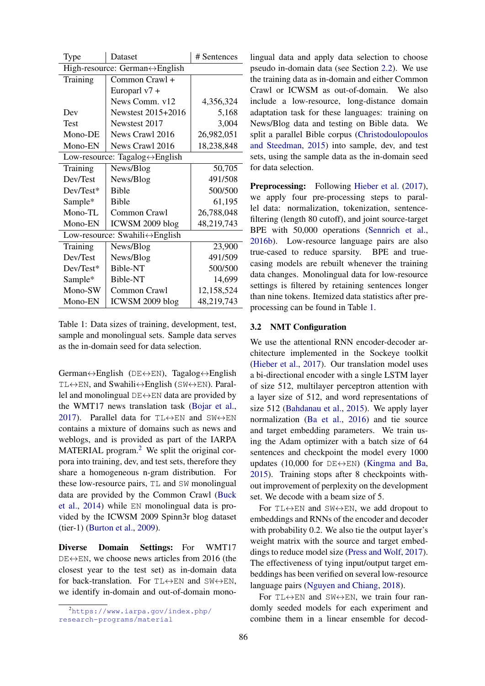| Type                                            | Dataset            | # Sentences |  |  |  |  |
|-------------------------------------------------|--------------------|-------------|--|--|--|--|
| High-resource: German $\leftrightarrow$ English |                    |             |  |  |  |  |
| Training                                        | Common Crawl +     |             |  |  |  |  |
|                                                 | Europarl $v7 +$    |             |  |  |  |  |
|                                                 | News Comm. v12     | 4,356,324   |  |  |  |  |
| Dev                                             | Newstest 2015+2016 | 5,168       |  |  |  |  |
| Test                                            | Newstest 2017      | 3,004       |  |  |  |  |
| Mono-DE                                         | News Crawl 2016    | 26,982,051  |  |  |  |  |
| Mono-EN                                         | News Crawl 2016    | 18,238,848  |  |  |  |  |
| Low-resource: Tagalog $\leftrightarrow$ English |                    |             |  |  |  |  |
| Training                                        | News/Blog          | 50,705      |  |  |  |  |
| Dev/Test                                        | News/Blog          | 491/508     |  |  |  |  |
| Dev/Test*                                       | <b>Bible</b>       | 500/500     |  |  |  |  |
| Sample*                                         | <b>Bible</b>       | 61,195      |  |  |  |  |
| Mono-TL                                         | Common Crawl       | 26,788,048  |  |  |  |  |
| Mono-EN                                         | ICWSM 2009 blog    | 48,219,743  |  |  |  |  |
| Low-resource: Swahili ↔ English                 |                    |             |  |  |  |  |
| Training                                        | News/Blog          | 23,900      |  |  |  |  |
| Dev/Test                                        | News/Blog          | 491/509     |  |  |  |  |
| Dev/Test*                                       | Bible-NT           | 500/500     |  |  |  |  |
| Sample*                                         | Bible-NT           | 14,699      |  |  |  |  |
| Mono-SW                                         | Common Crawl       | 12,158,524  |  |  |  |  |
| Mono-EN                                         | ICWSM 2009 blog    | 48,219,743  |  |  |  |  |

<span id="page-2-1"></span>Table 1: Data sizes of training, development, test, sample and monolingual sets. Sample data serves as the in-domain seed for data selection.

German↔English (DE↔EN), Tagalog↔English TL↔EN, and Swahili↔English (SW↔EN). Parallel and monolingual  $DE \leftrightarrow EN$  data are provided by the WMT17 news translation task [\(Bojar et al.,](#page-6-0) [2017\)](#page-6-0). Parallel data for  $TL \leftrightarrow EN$  and  $SW \leftrightarrow EN$ contains a mixture of domains such as news and weblogs, and is provided as part of the IARPA MATERIAL program.<sup>[2](#page-2-0)</sup> We split the original corpora into training, dev, and test sets, therefore they share a homogeneous n-gram distribution. For these low-resource pairs, TL and SW monolingual data are provided by the Common Crawl [\(Buck](#page-6-4) [et al.,](#page-6-4) [2014\)](#page-6-4) while EN monolingual data is provided by the ICWSM 2009 Spinn3r blog dataset (tier-1) [\(Burton et al.,](#page-6-5) [2009\)](#page-6-5).

Diverse Domain Settings: For WMT17  $DE \leftrightarrow EN$ , we choose news articles from 2016 (the closest year to the test set) as in-domain data for back-translation. For  $TL \leftrightarrow EN$  and  $SW \leftrightarrow EN$ , we identify in-domain and out-of-domain monolingual data and apply data selection to choose pseudo in-domain data (see Section [2.2\)](#page-1-1). We use the training data as in-domain and either Common Crawl or ICWSM as out-of-domain. We also include a low-resource, long-distance domain adaptation task for these languages: training on News/Blog data and testing on Bible data. We split a parallel Bible corpus [\(Christodoulopoulos](#page-7-10) [and Steedman,](#page-7-10) [2015\)](#page-7-10) into sample, dev, and test sets, using the sample data as the in-domain seed for data selection.

Preprocessing: Following [Hieber et al.](#page-7-11) [\(2017\)](#page-7-11), we apply four pre-processing steps to parallel data: normalization, tokenization, sentencefiltering (length 80 cutoff), and joint source-target BPE with 50,000 operations [\(Sennrich et al.,](#page-7-7) [2016b\)](#page-7-7). Low-resource language pairs are also true-cased to reduce sparsity. BPE and truecasing models are rebuilt whenever the training data changes. Monolingual data for low-resource settings is filtered by retaining sentences longer than nine tokens. Itemized data statistics after preprocessing can be found in Table [1.](#page-2-1)

#### 3.2 NMT Configuration

We use the attentional RNN encoder-decoder architecture implemented in the Sockeye toolkit [\(Hieber et al.,](#page-7-11) [2017\)](#page-7-11). Our translation model uses a bi-directional encoder with a single LSTM layer of size 512, multilayer perceptron attention with a layer size of 512, and word representations of size 512 [\(Bahdanau et al.,](#page-6-6) [2015\)](#page-6-6). We apply layer normalization [\(Ba et al.,](#page-6-7) [2016\)](#page-6-7) and tie source and target embedding parameters. We train using the Adam optimizer with a batch size of 64 sentences and checkpoint the model every 1000 updates (10,000 for  $DE \leftrightarrow EN$ ) [\(Kingma and Ba,](#page-7-12) [2015\)](#page-7-12). Training stops after 8 checkpoints without improvement of perplexity on the development set. We decode with a beam size of 5.

For  $TL \leftrightarrow EN$  and  $SW \leftrightarrow EN$ , we add dropout to embeddings and RNNs of the encoder and decoder with probability 0.2. We also tie the output layer's weight matrix with the source and target embeddings to reduce model size [\(Press and Wolf,](#page-7-13) [2017\)](#page-7-13). The effectiveness of tying input/output target embeddings has been verified on several low-resource language pairs [\(Nguyen and Chiang,](#page-7-14) [2018\)](#page-7-14).

For  $TL \leftrightarrow EN$  and  $SW \leftrightarrow EN$ , we train four randomly seeded models for each experiment and combine them in a linear ensemble for decod-

<span id="page-2-0"></span><sup>2</sup>[https://www.iarpa.gov/index.php/](https://www.iarpa.gov/index.php/research-programs/material) [research-programs/material](https://www.iarpa.gov/index.php/research-programs/material)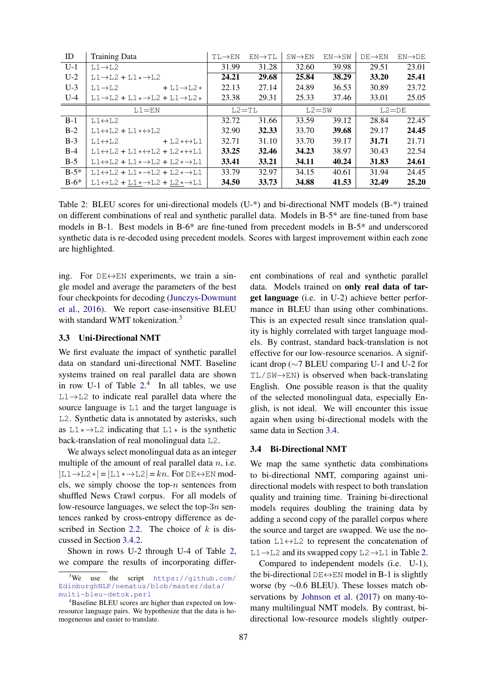| ID     | <b>Training Data</b>                                                                  | $TL\rightarrow EN$ | $EN \rightarrow TL$ | $SW \rightarrow EN$ | $EN \rightarrow SW$ | $DE \rightarrow EN$ | $EN \rightarrow DE$ |
|--------|---------------------------------------------------------------------------------------|--------------------|---------------------|---------------------|---------------------|---------------------|---------------------|
| $U-1$  | $L1 \rightarrow L2$                                                                   | 31.99              | 31.28               | 32.60               | 39.98               | 29.51               | 23.01               |
| $U-2$  | $L1 \rightarrow L2 + L1 \star \rightarrow L2$                                         |                    | 29.68               | 25.84               | 38.29               | 33.20               | 25.41               |
| $U-3$  | $L1 \rightarrow L2$<br>$+ L1 \rightarrow L2*$                                         | 22.13              | 27.14               | 24.89               | 36.53               | 30.89               | 23.72               |
| $U-4$  | $L1 \rightarrow L2 + L1 \star \rightarrow L2 + L1 \rightarrow L2 \star$               | 23.38              | 29.31               | 25.33               | 37.46               | 33.01               | 25.05               |
|        | $L1 = EN$                                                                             |                    | $L2 = T L$          | $L2 = SW$           |                     | $L2 = DE$           |                     |
| $B-1$  | $L1 \leftrightarrow L2$                                                               | 32.72              | 31.66               | 33.59               | 39.12               | 28.84               | 22.45               |
| $B-2$  | $L1 \leftrightarrow L2 + L1 \star \leftrightarrow L2$                                 | 32.90              | 32.33               | 33.70               | 39.68               | 29.17               | 24.45               |
| $B-3$  | $+ L2 \times \leftrightarrow L1$<br>$L1 \leftrightarrow L2$                           | 32.71              | 31.10               | 33.70               | 39.17               | 31.71               | 21.71               |
| $B-4$  | $L1 \leftrightarrow L2 + L1 \times \leftrightarrow L2 + L2 \times \leftrightarrow L1$ | 33.25              | 32.46               | 34.23               | 38.97               | 30.43               | 22.54               |
| $B-5$  | $L1 \leftrightarrow L2 + L1 \times \rightarrow L2 + L2 \times \rightarrow L1$         | 33.41              | 33.21               | 34.11               | 40.24               | 31.83               | 24.61               |
| $B-5*$ | $L1 \leftrightarrow L2 + L1 \times \rightarrow L2 + L2 \times \rightarrow L1$         | 33.79              | 32.97               | 34.15               | 40.61               | 31.94               | 24.45               |
| $B-6*$ | $L1 \leftrightarrow L2 + L1 \times \rightarrow L2 + L2 \times \rightarrow L1$         | 34.50              | 33.73               | 34.88               | 41.53               | 32.49               | 25.20               |

<span id="page-3-1"></span>Table 2: BLEU scores for uni-directional models (U-\*) and bi-directional NMT models (B-\*) trained on different combinations of real and synthetic parallel data. Models in B-5\* are fine-tuned from base models in B-1. Best models in B-6\* are fine-tuned from precedent models in B-5\* and underscored synthetic data is re-decoded using precedent models. Scores with largest improvement within each zone are highlighted.

ing. For  $DE \leftrightarrow EN$  experiments, we train a single model and average the parameters of the best four checkpoints for decoding [\(Junczys-Dowmunt](#page-7-15) [et al.,](#page-7-15) [2016\)](#page-7-15). We report case-insensitive BLEU with standard WMT tokenization.<sup>[3](#page-3-0)</sup>

#### 3.3 Uni-Directional NMT

We first evaluate the impact of synthetic parallel data on standard uni-directional NMT. Baseline systems trained on real parallel data are shown in row U-1 of Table  $2<sup>4</sup>$  $2<sup>4</sup>$  $2<sup>4</sup>$  In all tables, we use L1→L2 to indicate real parallel data where the source language is L1 and the target language is L2. Synthetic data is annotated by asterisks, such as  $L1 \rightarrow L2$  indicating that  $L1 \rightarrow$  is the synthetic back-translation of real monolingual data L2.

We always select monolingual data as an integer multiple of the amount of real parallel data  $n$ , i.e.  $|L1\rightarrow L2*|=|L1*\rightarrow L2|=kn.$  For DE $\leftrightarrow$ EN models, we simply choose the top- $n$  sentences from shuffled News Crawl corpus. For all models of low-resource languages, we select the top- $3n$  sentences ranked by cross-entropy difference as de-scribed in Section [2.2.](#page-1-1) The choice of  $k$  is discussed in Section [3.4.2.](#page-4-0)

Shown in rows U-2 through U-4 of Table [2,](#page-3-1) we compare the results of incorporating different combinations of real and synthetic parallel data. Models trained on only real data of target language (i.e. in U-2) achieve better performance in BLEU than using other combinations. This is an expected result since translation quality is highly correlated with target language models. By contrast, standard back-translation is not effective for our low-resource scenarios. A significant drop (∼7 BLEU comparing U-1 and U-2 for  $TL/SW \rightarrow EN$ ) is observed when back-translating English. One possible reason is that the quality of the selected monolingual data, especially English, is not ideal. We will encounter this issue again when using bi-directional models with the same data in Section [3.4.](#page-3-3)

#### <span id="page-3-3"></span>3.4 Bi-Directional NMT

We map the same synthetic data combinations to bi-directional NMT, comparing against unidirectional models with respect to both translation quality and training time. Training bi-directional models requires doubling the training data by adding a second copy of the parallel corpus where the source and target are swapped. We use the notation  $L1 \leftrightarrow L2$  to represent the concatenation of  $L1 \rightarrow L2$  and its swapped copy  $L2 \rightarrow L1$  in Table [2.](#page-3-1)

Compared to independent models (i.e. U-1), the bi-directional  $DE \leftrightarrow EN$  model in B-1 is slightly worse (by ∼0.6 BLEU). These losses match observations by [Johnson et al.](#page-7-6) [\(2017\)](#page-7-6) on many-tomany multilingual NMT models. By contrast, bidirectional low-resource models slightly outper-

<span id="page-3-0"></span><sup>3</sup>We use the script [https://github.com/](https://github.com/EdinburghNLP/nematus/blob/master/data/multi-bleu-detok.perl) [EdinburghNLP/nematus/blob/master/data/](https://github.com/EdinburghNLP/nematus/blob/master/data/multi-bleu-detok.perl) [multi-bleu-detok.perl](https://github.com/EdinburghNLP/nematus/blob/master/data/multi-bleu-detok.perl)

<span id="page-3-2"></span><sup>4</sup>Baseline BLEU scores are higher than expected on lowresource language pairs. We hypothesize that the data is homogeneous and easier to translate.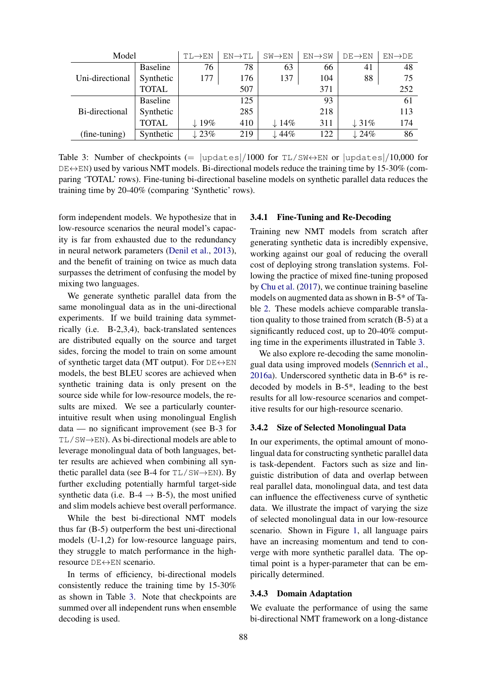| Model           |                 | $TL \rightarrow EN$ | $EN\rightarrow TL$ | $SW \rightarrow EN$ | $EN \rightarrow SW$ | $DE \rightarrow EN$ | $EN\rightarrow DE$ |
|-----------------|-----------------|---------------------|--------------------|---------------------|---------------------|---------------------|--------------------|
| Uni-directional | <b>Baseline</b> | 76                  | 78                 | 63                  | 66                  | 41                  | 48                 |
|                 | Synthetic       | 177                 | 176                | 137                 | 104                 | 88                  | 75                 |
|                 | <b>TOTAL</b>    | 507                 |                    |                     | 371                 | 252                 |                    |
|                 | <b>Baseline</b> |                     | 125                | 93                  |                     |                     | 61                 |
| Bi-directional  | Synthetic       |                     | 285                | 218                 |                     | 113                 |                    |
|                 | <b>TOTAL</b>    | $\downarrow$ 19%    | 410                | $\downarrow$ 14%    | 311                 | $\downarrow$ 31%    | 174                |
| (fine-tuning)   | Synthetic       | $\downarrow$ 23%    | 219                | $\downarrow$ 44%    | 122                 | $\downarrow$ 24%    | 86                 |

<span id="page-4-1"></span>Table 3: Number of checkpoints (=  $|$ updates $|/1000$  for TL/SW $\leftrightarrow$ EN or  $|$ updates $|/10,000$  for  $DE \leftrightarrow EN$ ) used by various NMT models. Bi-directional models reduce the training time by 15-30% (comparing 'TOTAL' rows). Fine-tuning bi-directional baseline models on synthetic parallel data reduces the training time by 20-40% (comparing 'Synthetic' rows).

form independent models. We hypothesize that in low-resource scenarios the neural model's capacity is far from exhausted due to the redundancy in neural network parameters [\(Denil et al.,](#page-7-16) [2013\)](#page-7-16), and the benefit of training on twice as much data surpasses the detriment of confusing the model by mixing two languages.

We generate synthetic parallel data from the same monolingual data as in the uni-directional experiments. If we build training data symmetrically (i.e. B-2,3,4), back-translated sentences are distributed equally on the source and target sides, forcing the model to train on some amount of synthetic target data (MT output). For  $DE \leftrightarrow EN$ models, the best BLEU scores are achieved when synthetic training data is only present on the source side while for low-resource models, the results are mixed. We see a particularly counterintuitive result when using monolingual English data — no significant improvement (see B-3 for TL/SW→EN). As bi-directional models are able to leverage monolingual data of both languages, better results are achieved when combining all synthetic parallel data (see B-4 for  $TL/SW \rightarrow EN$ ). By further excluding potentially harmful target-side synthetic data (i.e.  $B-4 \rightarrow B-5$ ), the most unified and slim models achieve best overall performance.

While the best bi-directional NMT models thus far (B-5) outperform the best uni-directional models (U-1,2) for low-resource language pairs, they struggle to match performance in the highresource DE↔EN scenario.

In terms of efficiency, bi-directional models consistently reduce the training time by 15-30% as shown in Table [3.](#page-4-1) Note that checkpoints are summed over all independent runs when ensemble decoding is used.

### 3.4.1 Fine-Tuning and Re-Decoding

Training new NMT models from scratch after generating synthetic data is incredibly expensive, working against our goal of reducing the overall cost of deploying strong translation systems. Following the practice of mixed fine-tuning proposed by [Chu et al.](#page-7-17) [\(2017\)](#page-7-17), we continue training baseline models on augmented data as shown in B-5\* of Table [2.](#page-3-1) These models achieve comparable translation quality to those trained from scratch (B-5) at a significantly reduced cost, up to 20-40% computing time in the experiments illustrated in Table [3.](#page-4-1)

We also explore re-decoding the same monolingual data using improved models [\(Sennrich et al.,](#page-7-5) [2016a\)](#page-7-5). Underscored synthetic data in B-6\* is redecoded by models in B-5\*, leading to the best results for all low-resource scenarios and competitive results for our high-resource scenario.

### <span id="page-4-0"></span>3.4.2 Size of Selected Monolingual Data

In our experiments, the optimal amount of monolingual data for constructing synthetic parallel data is task-dependent. Factors such as size and linguistic distribution of data and overlap between real parallel data, monolingual data, and test data can influence the effectiveness curve of synthetic data. We illustrate the impact of varying the size of selected monolingual data in our low-resource scenario. Shown in Figure [1,](#page-5-0) all language pairs have an increasing momentum and tend to converge with more synthetic parallel data. The optimal point is a hyper-parameter that can be empirically determined.

### 3.4.3 Domain Adaptation

We evaluate the performance of using the same bi-directional NMT framework on a long-distance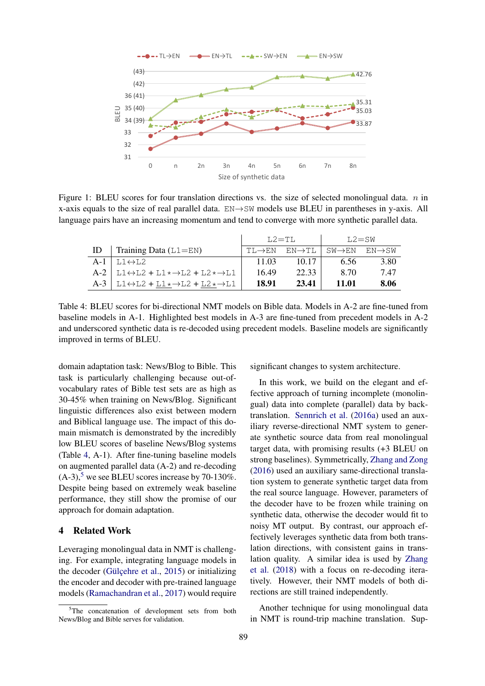

<span id="page-5-0"></span>Figure 1: BLEU scores for four translation directions vs. the size of selected monolingual data.  $n$  in x-axis equals to the size of real parallel data. EN→SW models use BLEU in parentheses in y-axis. All language pairs have an increasing momentum and tend to converge with more synthetic parallel data.

|       |                                                                                             | $T.2 = T T.$        |                        | $L2 = SN$                         |                     |  |
|-------|---------------------------------------------------------------------------------------------|---------------------|------------------------|-----------------------------------|---------------------|--|
| ID    | Training Data $(L1=EN)$                                                                     | $TL \rightarrow EN$ | $EN\!\rightarrow\! TL$ | $\text{SW} \rightarrow \text{EN}$ | $EN \rightarrow SW$ |  |
| $A-1$ | $L1 \leftrightarrow L2$                                                                     | 11.03               | 10.17                  | 6.56                              | 3.80                |  |
|       | $A-2$   L1 $\leftrightarrow$ L2 + L1 $\star$ $\rightarrow$ L2 + L2 $\star$ $\rightarrow$ L1 | 16.49               | 22.33                  | 8.70                              | 747                 |  |
| $A-3$ | $\vert$ L1 $\leftrightarrow$ L2 + L1 $\star$ $\rightarrow$ L2 + L2 $\star$ $\rightarrow$ L1 | 18.91               | 23.41                  | 11.01                             | 8.06                |  |

<span id="page-5-1"></span>Table 4: BLEU scores for bi-directional NMT models on Bible data. Models in A-2 are fine-tuned from baseline models in A-1. Highlighted best models in A-3 are fine-tuned from precedent models in A-2 and underscored synthetic data is re-decoded using precedent models. Baseline models are significantly improved in terms of BLEU.

domain adaptation task: News/Blog to Bible. This task is particularly challenging because out-ofvocabulary rates of Bible test sets are as high as 30-45% when training on News/Blog. Significant linguistic differences also exist between modern and Biblical language use. The impact of this domain mismatch is demonstrated by the incredibly low BLEU scores of baseline News/Blog systems (Table [4,](#page-5-1) A-1). After fine-tuning baseline models on augmented parallel data (A-2) and re-decoding  $(A-3)$ ,<sup>[5](#page-5-2)</sup> we see BLEU scores increase by 70-130%. Despite being based on extremely weak baseline performance, they still show the promise of our approach for domain adaptation.

# 4 Related Work

Leveraging monolingual data in NMT is challenging. For example, integrating language models in the decoder (Gülçehre et al.,  $2015$ ) or initializing the encoder and decoder with pre-trained language models [\(Ramachandran et al.,](#page-7-19) [2017\)](#page-7-19) would require significant changes to system architecture.

In this work, we build on the elegant and effective approach of turning incomplete (monolingual) data into complete (parallel) data by backtranslation. [Sennrich et al.](#page-7-5) [\(2016a\)](#page-7-5) used an auxiliary reverse-directional NMT system to generate synthetic source data from real monolingual target data, with promising results (+3 BLEU on strong baselines). Symmetrically, [Zhang and Zong](#page-7-8) [\(2016\)](#page-7-8) used an auxiliary same-directional translation system to generate synthetic target data from the real source language. However, parameters of the decoder have to be frozen while training on synthetic data, otherwise the decoder would fit to noisy MT output. By contrast, our approach effectively leverages synthetic data from both translation directions, with consistent gains in translation quality. A similar idea is used by [Zhang](#page-7-20) [et al.](#page-7-20) [\(2018\)](#page-7-20) with a focus on re-decoding iteratively. However, their NMT models of both directions are still trained independently.

Another technique for using monolingual data in NMT is round-trip machine translation. Sup-

<span id="page-5-2"></span> $5$ The concatenation of development sets from both News/Blog and Bible serves for validation.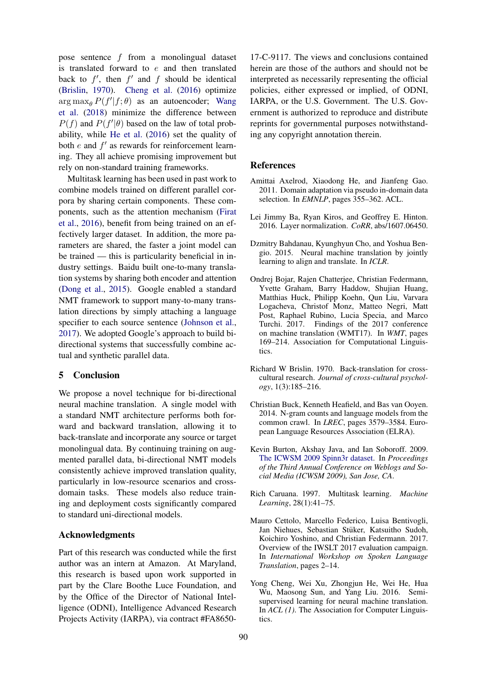pose sentence f from a monolingual dataset is translated forward to  $e$  and then translated back to  $f'$ , then  $f'$  and  $f$  should be identical [\(Brislin,](#page-6-8) [1970\)](#page-6-8). [Cheng et al.](#page-6-9) [\(2016\)](#page-6-9) optimize  $\arg \max_{\theta} P(f'|f; \theta)$  as an autoencoder; [Wang](#page-7-21) [et al.](#page-7-21) [\(2018\)](#page-7-21) minimize the difference between  $P(f)$  and  $P(f'|\theta)$  based on the law of total probability, while [He et al.](#page-7-22) [\(2016\)](#page-7-22) set the quality of both  $e$  and  $f'$  as rewards for reinforcement learning. They all achieve promising improvement but rely on non-standard training frameworks.

Multitask learning has been used in past work to combine models trained on different parallel corpora by sharing certain components. These components, such as the attention mechanism [\(Firat](#page-7-23) [et al.,](#page-7-23) [2016\)](#page-7-23), benefit from being trained on an effectively larger dataset. In addition, the more parameters are shared, the faster a joint model can be trained — this is particularity beneficial in industry settings. Baidu built one-to-many translation systems by sharing both encoder and attention [\(Dong et al.,](#page-7-24) [2015\)](#page-7-24). Google enabled a standard NMT framework to support many-to-many translation directions by simply attaching a language specifier to each source sentence [\(Johnson et al.,](#page-7-6) [2017\)](#page-7-6). We adopted Google's approach to build bidirectional systems that successfully combine actual and synthetic parallel data.

#### 5 Conclusion

We propose a novel technique for bi-directional neural machine translation. A single model with a standard NMT architecture performs both forward and backward translation, allowing it to back-translate and incorporate any source or target monolingual data. By continuing training on augmented parallel data, bi-directional NMT models consistently achieve improved translation quality, particularly in low-resource scenarios and crossdomain tasks. These models also reduce training and deployment costs significantly compared to standard uni-directional models.

### Acknowledgments

Part of this research was conducted while the first author was an intern at Amazon. At Maryland, this research is based upon work supported in part by the Clare Boothe Luce Foundation, and by the Office of the Director of National Intelligence (ODNI), Intelligence Advanced Research Projects Activity (IARPA), via contract #FA8650-

17-C-9117. The views and conclusions contained herein are those of the authors and should not be interpreted as necessarily representing the official policies, either expressed or implied, of ODNI, IARPA, or the U.S. Government. The U.S. Government is authorized to reproduce and distribute reprints for governmental purposes notwithstanding any copyright annotation therein.

# References

- <span id="page-6-3"></span>Amittai Axelrod, Xiaodong He, and Jianfeng Gao. 2011. Domain adaptation via pseudo in-domain data selection. In *EMNLP*, pages 355–362. ACL.
- <span id="page-6-7"></span>Lei Jimmy Ba, Ryan Kiros, and Geoffrey E. Hinton. 2016. Layer normalization. *CoRR*, abs/1607.06450.
- <span id="page-6-6"></span>Dzmitry Bahdanau, Kyunghyun Cho, and Yoshua Bengio. 2015. Neural machine translation by jointly learning to align and translate. In *ICLR*.
- <span id="page-6-0"></span>Ondrej Bojar, Rajen Chatterjee, Christian Federmann, Yvette Graham, Barry Haddow, Shujian Huang, Matthias Huck, Philipp Koehn, Qun Liu, Varvara Logacheva, Christof Monz, Matteo Negri, Matt Post, Raphael Rubino, Lucia Specia, and Marco Turchi. 2017. Findings of the 2017 conference on machine translation (WMT17). In *WMT*, pages 169–214. Association for Computational Linguistics.
- <span id="page-6-8"></span>Richard W Brislin. 1970. Back-translation for crosscultural research. *Journal of cross-cultural psychology*, 1(3):185–216.
- <span id="page-6-4"></span>Christian Buck, Kenneth Heafield, and Bas van Ooyen. 2014. N-gram counts and language models from the common crawl. In *LREC*, pages 3579–3584. European Language Resources Association (ELRA).
- <span id="page-6-5"></span>Kevin Burton, Akshay Java, and Ian Soboroff. 2009. [The ICWSM 2009 Spinn3r dataset.](http://www.icwsm.org/data/) In *Proceedings of the Third Annual Conference on Weblogs and Social Media (ICWSM 2009), San Jose, CA*.
- <span id="page-6-2"></span>Rich Caruana. 1997. Multitask learning. *Machine Learning*, 28(1):41–75.
- <span id="page-6-1"></span>Mauro Cettolo, Marcello Federico, Luisa Bentivogli, Jan Niehues, Sebastian Stüker, Katsuitho Sudoh, Koichiro Yoshino, and Christian Federmann. 2017. Overview of the IWSLT 2017 evaluation campaign. In *International Workshop on Spoken Language Translation*, pages 2–14.
- <span id="page-6-9"></span>Yong Cheng, Wei Xu, Zhongjun He, Wei He, Hua Wu, Maosong Sun, and Yang Liu. 2016. Semisupervised learning for neural machine translation. In *ACL (1)*. The Association for Computer Linguistics.